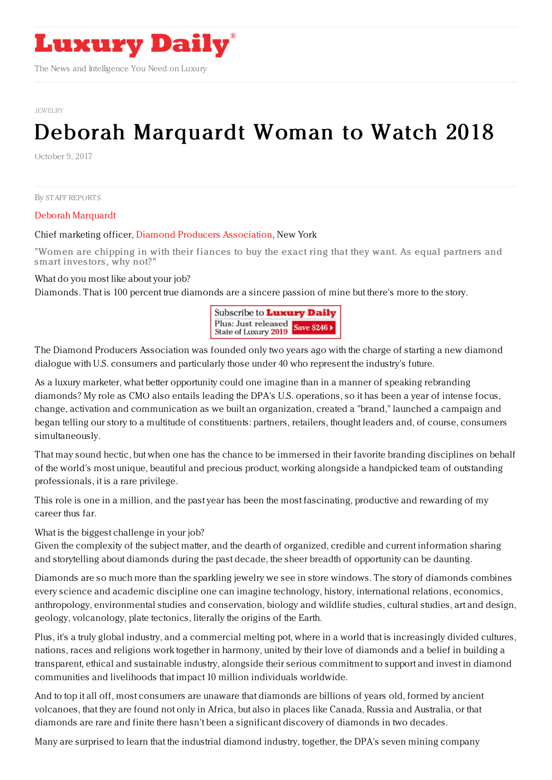

The News and Intelligence You Need on Luxury

[JEWELRY](https://www.luxurydaily.com/category/sectors/jewelry/)

## Deborah [Marquardt](https://www.luxurydaily.com/deborah-marquardt-woman-to-watch-2018/) Woman to Watch 2018

October 9, 2017

By STAFF [REPORT](file:///author/staff-reports) S

Deborah Marquardt

## Chief marketing officer, Diamond Producers [Association](http://www.diamondproducers.com/), New York

"Women are chipping in with their fiances to buy the exact ring that they want. As equal partners and smart investors, why not?"

What do you most like about your job?

Diamonds. That is 100 percent true diamonds are a sincere passion of mine but there's more to the story.



The Diamond Producers Association was founded only two years ago with the charge of starting a new diamond dialogue with U.S. consumers and particularly those under 40 who represent the industry's future.

As a luxury marketer, what better opportunity could one imagine than in a manner of speaking rebranding diamonds? My role as CMO also entails leading the DPA's U.S. operations, so it has been a year of intense focus, change, activation and communication as we built an organization, created a "brand," launched a campaign and began telling our story to a multitude of constituents: partners, retailers, thought leaders and, of course, consumers simultaneously.

That may sound hectic, but when one has the chance to be immersed in their favorite branding disciplines on behalf of the world's most unique, beautiful and precious product, working alongside a handpicked team of outstanding professionals, it is a rare privilege.

This role is one in a million, and the past year has been the most fascinating, productive and rewarding of my career thus far.

What is the biggest challenge in your job?

Given the complexity of the subject matter, and the dearth of organized, credible and current information sharing and storytelling about diamonds during the past decade, the sheer breadth of opportunity can be daunting.

Diamonds are so much more than the sparkling jewelry we see in store windows. The story of diamonds combines every science and academic discipline one can imagine technology, history, international relations, economics, anthropology, environmental studies and conservation, biology and wildlife studies, cultural studies, art and design, geology, volcanology, plate tectonics, literally the origins of the Earth.

Plus, it's a truly global industry, and a commercial melting pot, where in a world that is increasingly divided cultures, nations, races and religions work together in harmony, united by their love of diamonds and a belief in building a transparent, ethical and sustainable industry, alongside their serious commitment to support and invest in diamond communities and livelihoods that impact 10 million individuals worldwide.

And to top it all off, most consumers are unaware that diamonds are billions of years old, formed by ancient volcanoes, that they are found not only in Africa, but also in places like Canada, Russia and Australia, or that diamonds are rare and finite there hasn't been a significant discovery of diamonds in two decades.

Many are surprised to learn that the industrial diamond industry, together, the DPA's seven mining company